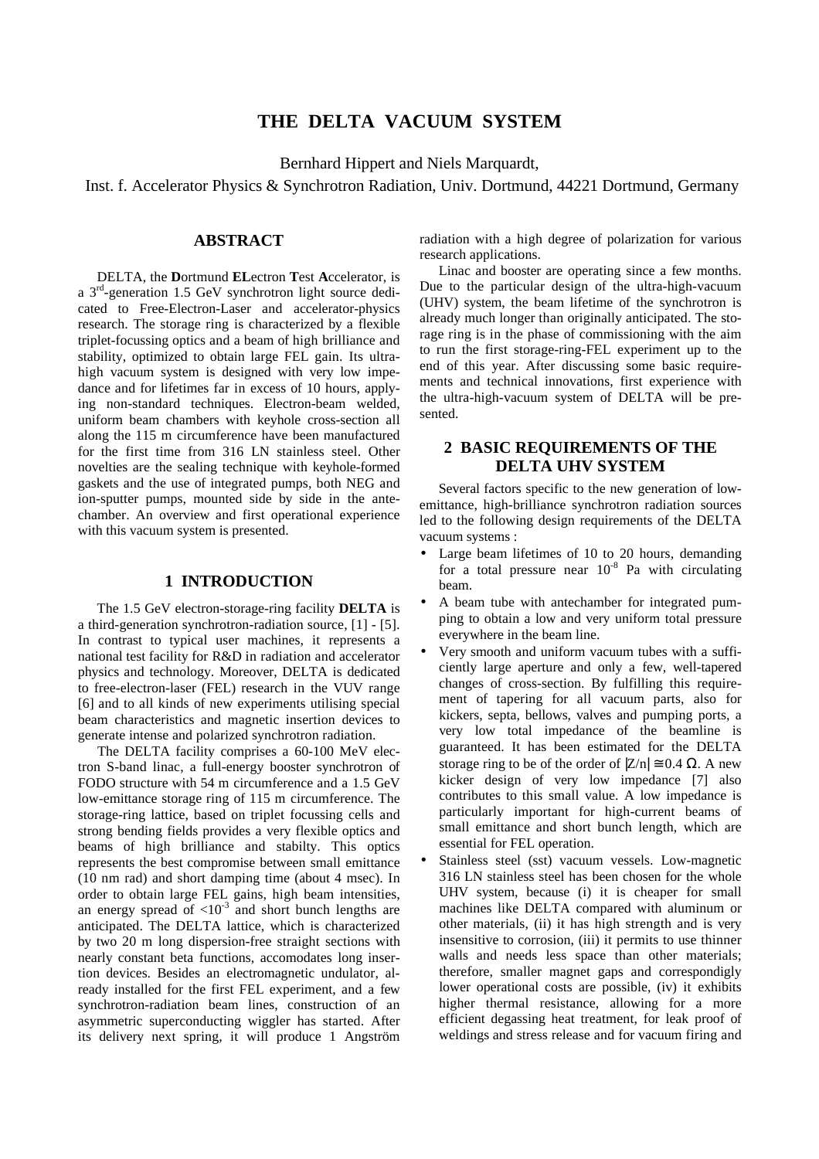# **THE DELTA VACUUM SYSTEM**

Bernhard Hippert and Niels Marquardt,

Inst. f. Accelerator Physics & Synchrotron Radiation, Univ. Dortmund, 44221 Dortmund, Germany

#### **ABSTRACT**

DELTA, the **D**ortmund **EL**ectron **T**est **A**ccelerator, is a 3rd-generation 1.5 GeV synchrotron light source dedicated to Free-Electron-Laser and accelerator-physics research. The storage ring is characterized by a flexible triplet-focussing optics and a beam of high brilliance and stability, optimized to obtain large FEL gain. Its ultrahigh vacuum system is designed with very low impedance and for lifetimes far in excess of 10 hours, applying non-standard techniques. Electron-beam welded, uniform beam chambers with keyhole cross-section all along the 115 m circumference have been manufactured for the first time from 316 LN stainless steel. Other novelties are the sealing technique with keyhole-formed gaskets and the use of integrated pumps, both NEG and ion-sputter pumps, mounted side by side in the antechamber. An overview and first operational experience with this vacuum system is presented.

### **1 INTRODUCTION**

The 1.5 GeV electron-storage-ring facility **DELTA** is a third-generation synchrotron-radiation source, [1] - [5]. In contrast to typical user machines, it represents a national test facility for R&D in radiation and accelerator physics and technology. Moreover, DELTA is dedicated to free-electron-laser (FEL) research in the VUV range [6] and to all kinds of new experiments utilising special beam characteristics and magnetic insertion devices to generate intense and polarized synchrotron radiation.

The DELTA facility comprises a 60-100 MeV electron S-band linac, a full-energy booster synchrotron of FODO structure with 54 m circumference and a 1.5 GeV low-emittance storage ring of 115 m circumference. The storage-ring lattice, based on triplet focussing cells and strong bending fields provides a very flexible optics and beams of high brilliance and stabilty. This optics represents the best compromise between small emittance (10 nm rad) and short damping time (about 4 msec). In order to obtain large FEL gains, high beam intensities, an energy spread of  $\langle 10^{-3} \rangle$  and short bunch lengths are anticipated. The DELTA lattice, which is characterized by two 20 m long dispersion-free straight sections with nearly constant beta functions, accomodates long insertion devices. Besides an electromagnetic undulator, already installed for the first FEL experiment, and a few synchrotron-radiation beam lines, construction of an asymmetric superconducting wiggler has started. After its delivery next spring, it will produce 1 Angström

radiation with a high degree of polarization for various research applications.

Linac and booster are operating since a few months. Due to the particular design of the ultra-high-vacuum (UHV) system, the beam lifetime of the synchrotron is already much longer than originally anticipated. The storage ring is in the phase of commissioning with the aim to run the first storage-ring-FEL experiment up to the end of this year. After discussing some basic requirements and technical innovations, first experience with the ultra-high-vacuum system of DELTA will be presented.

### **2 BASIC REQUIREMENTS OF THE DELTA UHV SYSTEM**

Several factors specific to the new generation of lowemittance, high-brilliance synchrotron radiation sources led to the following design requirements of the DELTA vacuum systems :

- Large beam lifetimes of 10 to 20 hours, demanding for a total pressure near  $10^{-8}$  Pa with circulating beam.
- A beam tube with antechamber for integrated pumping to obtain a low and very uniform total pressure everywhere in the beam line.
- Very smooth and uniform vacuum tubes with a sufficiently large aperture and only a few, well-tapered changes of cross-section. By fulfilling this requirement of tapering for all vacuum parts, also for kickers, septa, bellows, valves and pumping ports, a very low total impedance of the beamline is guaranteed. It has been estimated for the DELTA storage ring to be of the order of  $|Z/n| \approx 0.4 \Omega$ . A new kicker design of very low impedance [7] also contributes to this small value. A low impedance is particularly important for high-current beams of small emittance and short bunch length, which are essential for FEL operation.
- Stainless steel (sst) vacuum vessels. Low-magnetic 316 LN stainless steel has been chosen for the whole UHV system, because (i) it is cheaper for small machines like DELTA compared with aluminum or other materials, (ii) it has high strength and is very insensitive to corrosion, (iii) it permits to use thinner walls and needs less space than other materials; therefore, smaller magnet gaps and correspondigly lower operational costs are possible, (iv) it exhibits higher thermal resistance, allowing for a more efficient degassing heat treatment, for leak proof of weldings and stress release and for vacuum firing and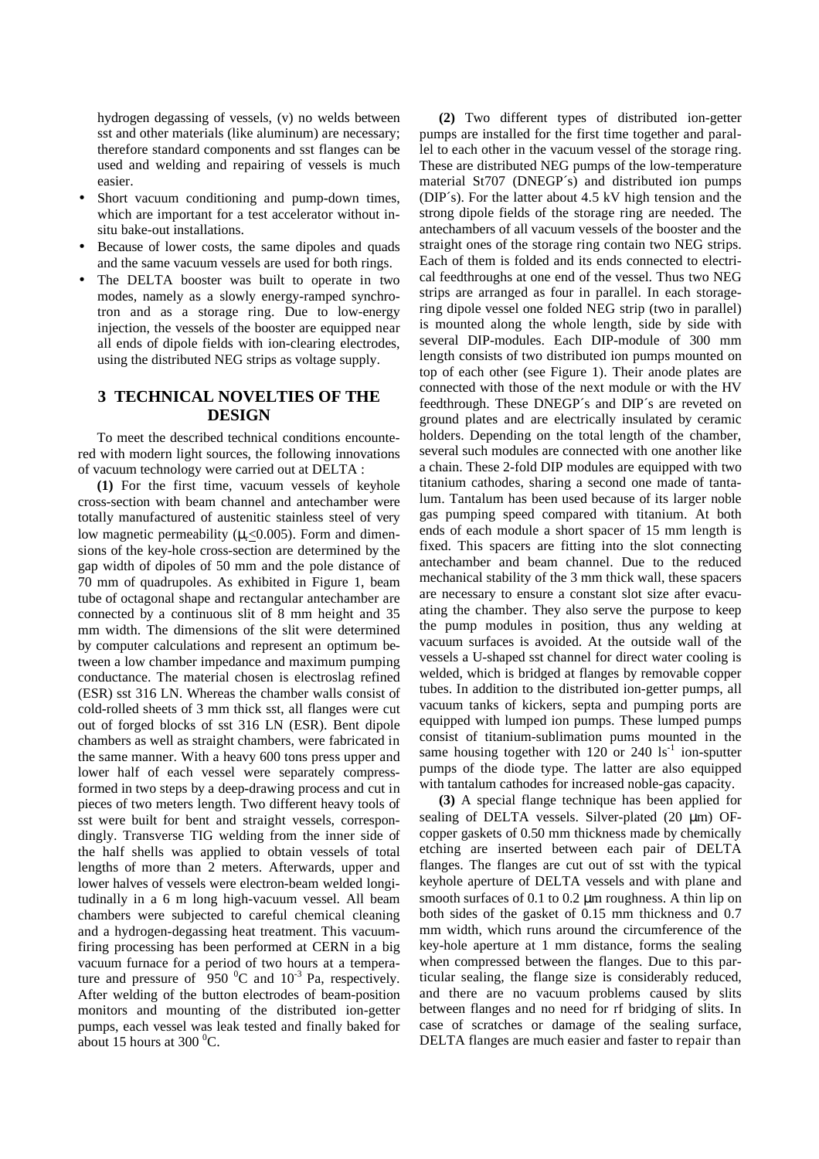hydrogen degassing of vessels, (v) no welds between sst and other materials (like aluminum) are necessary; therefore standard components and sst flanges can be used and welding and repairing of vessels is much easier.

- Short vacuum conditioning and pump-down times, which are important for a test accelerator without insitu bake-out installations.
- Because of lower costs, the same dipoles and quads and the same vacuum vessels are used for both rings.
- The DELTA booster was built to operate in two modes, namely as a slowly energy-ramped synchrotron and as a storage ring. Due to low-energy injection, the vessels of the booster are equipped near all ends of dipole fields with ion-clearing electrodes, using the distributed NEG strips as voltage supply.

### **3 TECHNICAL NOVELTIES OF THE DESIGN**

To meet the described technical conditions encountered with modern light sources, the following innovations of vacuum technology were carried out at DELTA :

**(1)** For the first time, vacuum vessels of keyhole cross-section with beam channel and antechamber were totally manufactured of austenitic stainless steel of very low magnetic permeability ( $\mu$ <sub>r</sub> $\leq$ 0.005). Form and dimensions of the key-hole cross-section are determined by the gap width of dipoles of 50 mm and the pole distance of 70 mm of quadrupoles. As exhibited in Figure 1, beam tube of octagonal shape and rectangular antechamber are connected by a continuous slit of 8 mm height and 35 mm width. The dimensions of the slit were determined by computer calculations and represent an optimum between a low chamber impedance and maximum pumping conductance. The material chosen is electroslag refined (ESR) sst 316 LN. Whereas the chamber walls consist of cold-rolled sheets of 3 mm thick sst, all flanges were cut out of forged blocks of sst 316 LN (ESR). Bent dipole chambers as well as straight chambers, were fabricated in the same manner. With a heavy 600 tons press upper and lower half of each vessel were separately compressformed in two steps by a deep-drawing process and cut in pieces of two meters length. Two different heavy tools of sst were built for bent and straight vessels, correspondingly. Transverse TIG welding from the inner side of the half shells was applied to obtain vessels of total lengths of more than 2 meters. Afterwards, upper and lower halves of vessels were electron-beam welded longitudinally in a 6 m long high-vacuum vessel. All beam chambers were subjected to careful chemical cleaning and a hydrogen-degassing heat treatment. This vacuumfiring processing has been performed at CERN in a big vacuum furnace for a period of two hours at a temperature and pressure of  $950\text{ °C}$  and  $10^{-3}$  Pa, respectively. After welding of the button electrodes of beam-position monitors and mounting of the distributed ion-getter pumps, each vessel was leak tested and finally baked for about 15 hours at 300 $\mathrm{^0C}$ .

**(2)** Two different types of distributed ion-getter pumps are installed for the first time together and parallel to each other in the vacuum vessel of the storage ring. These are distributed NEG pumps of the low-temperature material St707 (DNEGP´s) and distributed ion pumps (DIP´s). For the latter about 4.5 kV high tension and the strong dipole fields of the storage ring are needed. The antechambers of all vacuum vessels of the booster and the straight ones of the storage ring contain two NEG strips. Each of them is folded and its ends connected to electrical feedthroughs at one end of the vessel. Thus two NEG strips are arranged as four in parallel. In each storagering dipole vessel one folded NEG strip (two in parallel) is mounted along the whole length, side by side with several DIP-modules. Each DIP-module of 300 mm length consists of two distributed ion pumps mounted on top of each other (see Figure 1). Their anode plates are connected with those of the next module or with the HV feedthrough. These DNEGP´s and DIP´s are reveted on ground plates and are electrically insulated by ceramic holders. Depending on the total length of the chamber, several such modules are connected with one another like a chain. These 2-fold DIP modules are equipped with two titanium cathodes, sharing a second one made of tantalum. Tantalum has been used because of its larger noble gas pumping speed compared with titanium. At both ends of each module a short spacer of 15 mm length is fixed. This spacers are fitting into the slot connecting antechamber and beam channel. Due to the reduced mechanical stability of the 3 mm thick wall, these spacers are necessary to ensure a constant slot size after evacuating the chamber. They also serve the purpose to keep the pump modules in position, thus any welding at vacuum surfaces is avoided. At the outside wall of the vessels a U-shaped sst channel for direct water cooling is welded, which is bridged at flanges by removable copper tubes. In addition to the distributed ion-getter pumps, all vacuum tanks of kickers, septa and pumping ports are equipped with lumped ion pumps. These lumped pumps consist of titanium-sublimation pums mounted in the same housing together with 120 or 240  $\mathrm{ls}^{-1}$  ion-sputter pumps of the diode type. The latter are also equipped with tantalum cathodes for increased noble-gas capacity.

**(3)** A special flange technique has been applied for sealing of DELTA vessels. Silver-plated  $(20 \mu m)$  OFcopper gaskets of 0.50 mm thickness made by chemically etching are inserted between each pair of DELTA flanges. The flanges are cut out of sst with the typical keyhole aperture of DELTA vessels and with plane and smooth surfaces of 0.1 to 0.2  $\mu$ m roughness. A thin lip on both sides of the gasket of 0.15 mm thickness and 0.7 mm width, which runs around the circumference of the key-hole aperture at 1 mm distance, forms the sealing when compressed between the flanges. Due to this particular sealing, the flange size is considerably reduced, and there are no vacuum problems caused by slits between flanges and no need for rf bridging of slits. In case of scratches or damage of the sealing surface, DELTA flanges are much easier and faster to repair than